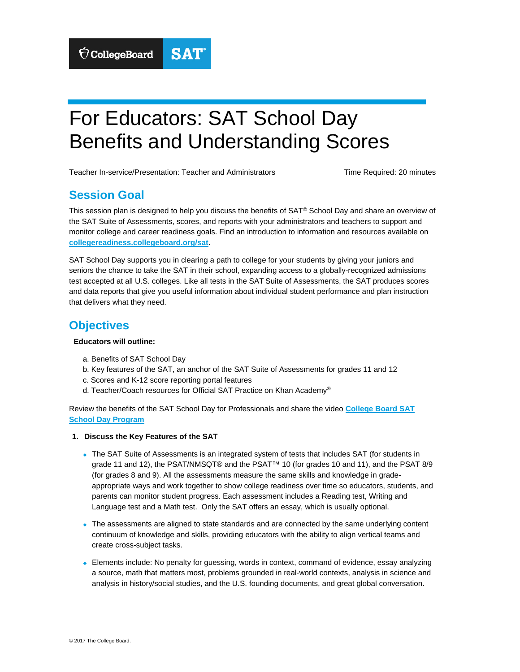# For Educators: SAT School Day Benefits and Understanding Scores<br>Teacher In-service/Presentation: Teacher and Administrators Time Required: 20 minutes

## **Session Goal**

This session plan is designed to help you discuss the benefits of SAT<sup>®</sup> School Day and share an overview of the SAT Suite of Assessments, scores, and reports with your administrators and teachers to support and monitor college and career readiness goals. Find an introduction to information and resources available on **[collegereadiness.collegeboard.org/sat](http://collegereadiness.collegeboard.org/sat)**.

SAT School Day supports you in clearing a path to college for your students by giving your juniors and seniors the chance to take the SAT in their school, expanding access to a globally-recognized admissions test accepted at all U.S. colleges. Like all tests in the SAT Suite of Assessments, the SAT produces scores and data reports that give you useful information about individual student performance and plan instruction that delivers what they need.

## **Objectives**

#### **Educators will outline:**

- a. Benefits of SAT School Day
- b. Key features of the SAT, an anchor of the SAT Suite of Assessments for grades 11 and 12
- c. Scores and K-12 score reporting portal features
- d. Teacher/Coach resources for Official SAT Practice on Khan Academy®

Review the benefits of the SAT School Day for Professionals and share the video **[College Board SAT](https://collegereadiness.collegeboard.org/sat/k12-educators/sat-school-day/about) [School Day Program](https://collegereadiness.collegeboard.org/sat/k12-educators/sat-school-day/about)** 

- **1. Discuss the Key Features of the SAT** 
	- The SAT Suite of Assessments is an integrated system of tests that includes SAT (for students in grade 11 and 12), the PSAT/NMSQT® and the PSAT™ 10 (for grades 10 and 11), and the PSAT 8/9 (for grades 8 and 9). All the assessments measure the same skills and knowledge in gradeappropriate ways and work together to show college readiness over time so educators, students, and parents can monitor student progress. Each assessment includes a Reading test, Writing and Language test and a Math test. Only the SAT offers an essay, which is usually optional.
	- The assessments are aligned to state standards and are connected by the same underlying content continuum of knowledge and skills, providing educators with the ability to align vertical teams and create cross-subject tasks.
	- Elements include: No penalty for guessing, words in context, command of evidence, essay analyzing a source, math that matters most, problems grounded in real-world contexts, analysis in science and analysis in history/social studies, and the U.S. founding documents, and great global conversation.